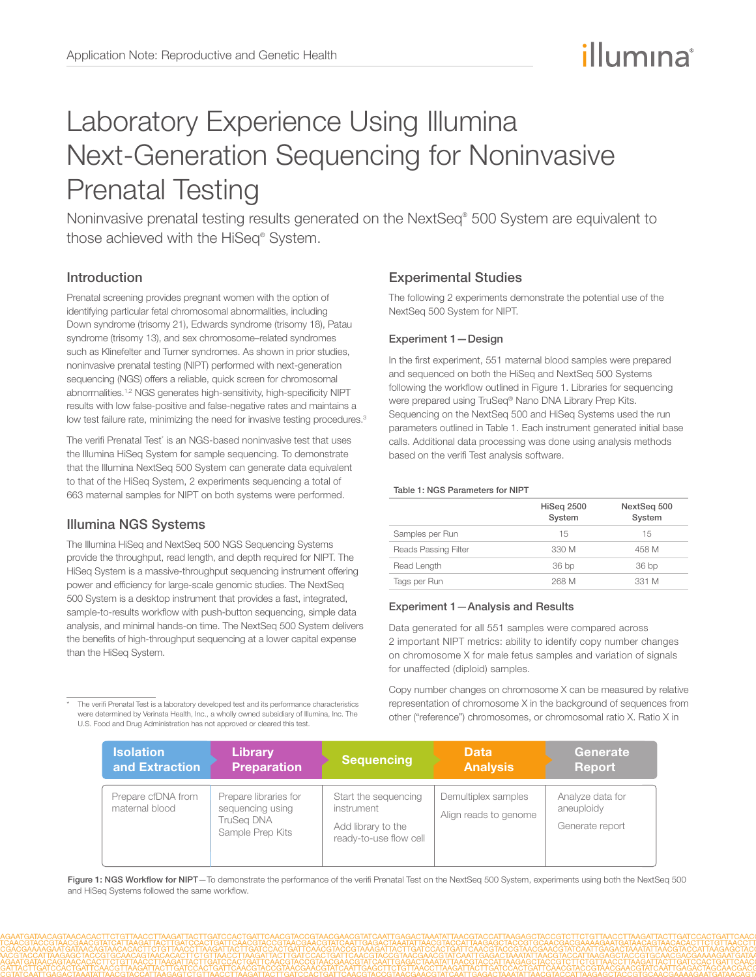# illumına

## Laboratory Experience Using Illumina Next-Generation Sequencing for Noninvasive Prenatal Testing

Noninvasive prenatal testing results generated on the NextSeq® 500 System are equivalent to those achieved with the HiSeq® System.

## Introduction

Prenatal screening provides pregnant women with the option of identifying particular fetal chromosomal abnormalities, including Down syndrome (trisomy 21), Edwards syndrome (trisomy 18), Patau syndrome (trisomy 13), and sex chromosome–related syndromes such as Klinefelter and Turner syndromes. As shown in prior studies, noninvasive prenatal testing (NIPT) performed with next-generation sequencing (NGS) offers a reliable, quick screen for chromosomal abnormalities.[1](#page-1-0),[2](#page-1-1) NGS generates high-sensitivity, high-specificity NIPT results with low false-positive and false-negative rates and maintains a low test failure rate, minimizing the need for invasive testing procedures.<sup>3</sup>

The verifi Prenatal Test\* is an NGS-based noninvasive test that uses the Illumina HiSeq System for sample sequencing. To demonstrate that the Illumina NextSeq 500 System can generate data equivalent to that of the HiSeq System, 2 experiments sequencing a total of 663 maternal samples for NIPT on both systems were performed.

## Illumina NGS Systems

The Illumina HiSeq and NextSeq 500 NGS Sequencing Systems provide the throughput, read length, and depth required for NIPT. The HiSeq System is a massive-throughput sequencing instrument offering power and efficiency for large-scale genomic studies. The NextSeq 500 System is a desktop instrument that provides a fast, integrated, sample-to-results workflow with push-button sequencing, simple data analysis, and minimal hands-on time. The NextSeq 500 System delivers the benefits of high-throughput sequencing at a lower capital expense than the HiSeq System.

The verifi Prenatal Test is a laboratory developed test and its performance characteristics were determined by Verinata Health, Inc., a wholly owned subsidiary of Illumina, Inc. The U.S. Food and Drug Administration has not approved or cleared this test.

## Experimental Studies

The following 2 experiments demonstrate the potential use of the NextSeq 500 System for NIPT.

#### Experiment 1—Design

In the first experiment, 551 maternal blood samples were prepared and sequenced on both the HiSeq and NextSeq 500 Systems following the workflow outlined in Figure 1. Libraries for sequencing were prepared using TruSeq® Nano DNA Library Prep Kits. Sequencing on the NextSeq 500 and HiSeq Systems used the run parameters outlined in Table 1. Each instrument generated initial base calls. Additional data processing was done using analysis methods based on the verifi Test analysis software.

#### Table 1: NGS Parameters for NIPT

|                      | HiSeg 2500<br>System | NextSeg 500<br>System |
|----------------------|----------------------|-----------------------|
| Samples per Run      | 15                   | 15                    |
| Reads Passing Filter | 330 M                | 458 M                 |
| Read Length          | 36 bp                | 36 bp                 |
| Tags per Run         | 268 M                | 331 M                 |

#### Experiment 1—Analysis and Results

Data generated for all 551 samples were compared across 2 important NIPT metrics: ability to identify copy number changes on chromosome X for male fetus samples and variation of signals for unaffected (diploid) samples.

Copy number changes on chromosome X can be measured by relative representation of chromosome X in the background of sequences from other ("reference") chromosomes, or chromosomal ratio X. Ratio X in

| <b>Isolation</b>                     | Library                                                                            | <b>Sequencing</b>                                                                  | <b>Data</b>                                  | Generate                                          |
|--------------------------------------|------------------------------------------------------------------------------------|------------------------------------------------------------------------------------|----------------------------------------------|---------------------------------------------------|
| and Extraction                       | <b>Preparation</b>                                                                 |                                                                                    | <b>Analysis</b>                              | <b>Report</b>                                     |
| Prepare cfDNA from<br>maternal blood | Prepare libraries for<br>sequencing using<br><b>TruSeg DNA</b><br>Sample Prep Kits | Start the sequencing<br>instrument<br>Add library to the<br>ready-to-use flow cell | Demultiplex samples<br>Align reads to genome | Analyze data for<br>aneuploidy<br>Generate report |

Figure 1: NGS Workflow for NIPT-To demonstrate the performance of the verifi Prenatal Test on the NextSeq 500 System, experiments using both the NextSeq 500 and HiSeq Systems followed the same workflow.